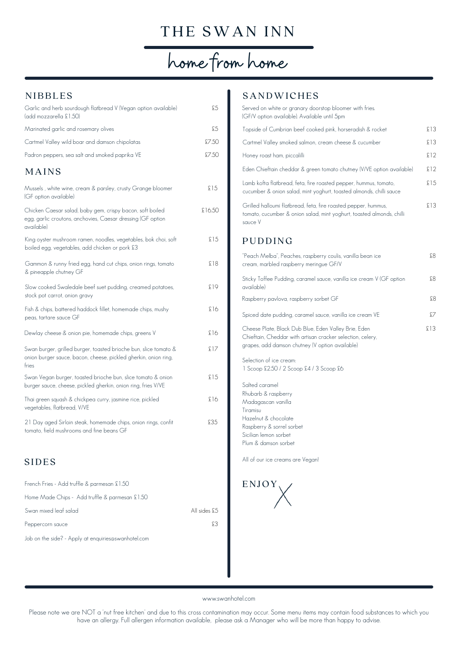## THE SWAN INN

## home from home

## **NIBBLES**

| Garlic and herb sourdough flatbread V (Vegan option available)<br>(add mozzarella £1.50)                                                     | £5     |
|----------------------------------------------------------------------------------------------------------------------------------------------|--------|
| Marinated garlic and rosemary olives                                                                                                         | £5     |
| Cartmel Valley wild boar and damson chipolatas                                                                                               | £7.50  |
| Padron peppers, sea salt and smoked paprika VE                                                                                               | £7.50  |
| MAINS                                                                                                                                        |        |
| Mussels , white wine, cream & parsley, crusty Grange bloomer<br>(GF option available)                                                        | £15    |
| Chicken Caesar salad, baby gem, crispy bacon, soft boiled<br>egg, garlic croutons, anchovies, Caesar dressing (GF option<br>available)       | £16.50 |
| King oyster mushroom ramen, noodles, vegetables, bok choi, soft<br>boiled egg, vegetables, add chicken or pork £3                            | £15    |
| Gammon & runny fried egg, hand cut chips, onion rings, tomato<br>& pineapple chutney GF                                                      | £18    |
| Slow cooked Swaledale beef suet pudding, creamed potatoes,<br>stock pot carrot, onion gravy                                                  | £19    |
| Fish & chips, battered haddock fillet, homemade chips, mushy<br>peas, tartare sauce GF                                                       | £16    |
| Dewlay cheese & onion pie, homemade chips, greens V                                                                                          | £16    |
| Swan burger, grilled burger, toasted brioche bun, slice tomato &<br>onion burger sauce, bacon, cheese, pickled gherkin, onion ring,<br>fries | £17    |
| Swan Vegan burger, toasted brioche bun, slice tomato & onion<br>burger sauce, cheese, pickled gherkin, onion ring, fries V/VE                | £15    |
| Thai green squash & chickpea curry, jasmine rice, pickled<br>vegetables, flatbread, V/VE                                                     | £16    |
| 21 Day aged Sirloin steak, homemade chips, onion rings, confit<br>tomato, field mushrooms and fine beans GF                                  | £35    |
| <b>SIDES</b>                                                                                                                                 |        |

| French Fries - Add truffle & parmesan £1.50         |              |
|-----------------------------------------------------|--------------|
| Home Made Chips - Add truffle & parmesan £1.50      |              |
| Swan mixed leaf salad                               | All sides £5 |
| Peppercorn sauce                                    | £?           |
| Job on the side? - Apply at enquiries@swanhotel.com |              |

## **SANDWICHES**

| Served on white or granary doorstop bloomer with fries.<br>(GF/V option available). Available until 5pm                                                                                                           |      |
|-------------------------------------------------------------------------------------------------------------------------------------------------------------------------------------------------------------------|------|
| Topside of Cumbrian beef cooked pink, horseradish & rocket                                                                                                                                                        | £13  |
| Cartmel Valley smoked salmon, cream cheese & cucumber                                                                                                                                                             | £13  |
| Honey roast ham, piccalilli                                                                                                                                                                                       | \$12 |
| Eden Chieftain cheddar & green tomato chutney (V/VE option available)                                                                                                                                             | £12  |
| Lamb kofta flatbread, feta, fire roasted pepper, hummus, tomato,<br>cucumber & onion salad, mint yoghurt, toasted almonds, chilli sauce                                                                           | £15  |
| Grilled halloumi flatbread, feta, fire roasted pepper, hummus,<br>tomato, cucumber & onion salad, mint yoghurt, toasted almonds, chilli<br>sauce V                                                                | £13  |
| PUDDING                                                                                                                                                                                                           |      |
| "Peach Melba", Peaches, raspberry coulis, vanilla bean ice<br>cream, marbled raspberry meringue GF/V                                                                                                              | 83   |
| Sticky Toffee Pudding, caramel sauce, vanilla ice cream V (GF option<br>available)                                                                                                                                | £8   |
| Raspberry pavlova, raspberry sorbet GF                                                                                                                                                                            | £8   |
| Spiced date pudding, caramel sauce, vanilla ice cream VE                                                                                                                                                          | £7   |
| Cheese Plate, Black Dub Blue, Eden Valley Brie, Eden<br>Chieftain, Cheddar with artisan cracker selection, celery,<br>grapes, add damson chutney (V option available)                                             | £13  |
| Selection of ice cream:<br>1 Scoop £2.50 / 2 Scoop £4 / 3 Scoop £6                                                                                                                                                |      |
| Salted caramel<br>Rhubarb & raspberry<br>Madagascan vanilla<br>Tiramisu<br>Hazelnut & chocolate<br>Raspberry & sorrel sorbet<br>Sicilian lemon sorbet<br>Plum & damson sorbet<br>All of our ice creams are Vegan! |      |
|                                                                                                                                                                                                                   |      |



www.swanhotel.com

Please note we are NOT a 'nut free kitchen' and due to this cross contamination may occur. Some menu items may contain food substances to which you have an allergy. Full allergen information available, please ask a Manager who will be more than happy to advise.